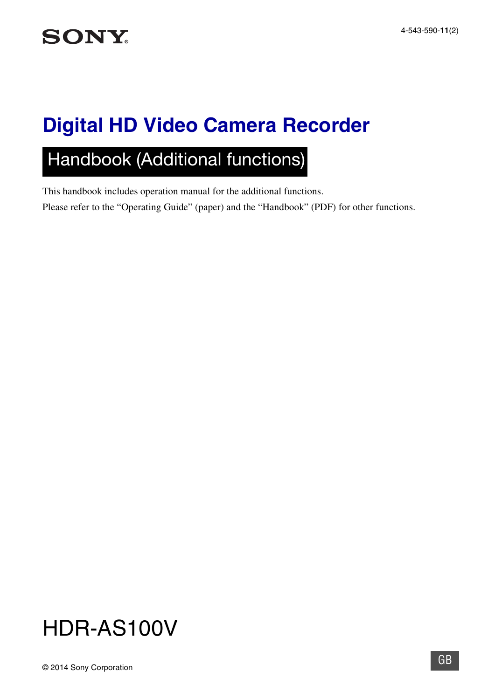# **Digital HD Video Camera Recorder**

# Handbook (Additional functions)

This handbook includes operation manual for the additional functions. Please refer to the "Operating Guide" (paper) and the "Handbook" (PDF) for other functions.

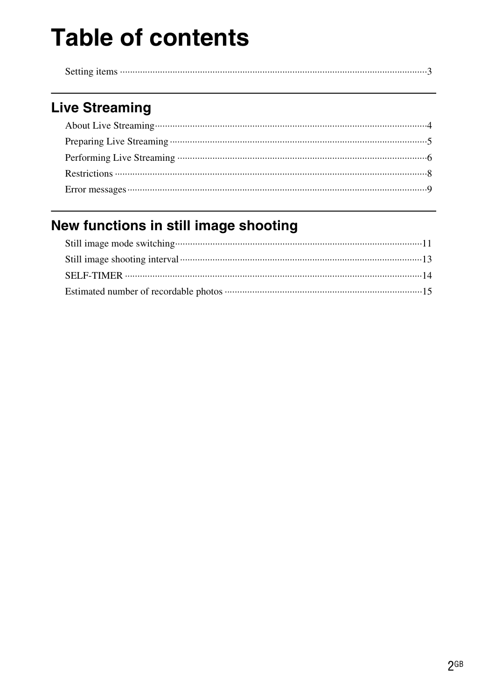# **Table of contents**

|--|

## **Live Streaming**

## New functions in still image shooting

| Still image shooting interval <b>continuous</b> contains and contain a series of 13 |  |
|-------------------------------------------------------------------------------------|--|
|                                                                                     |  |
|                                                                                     |  |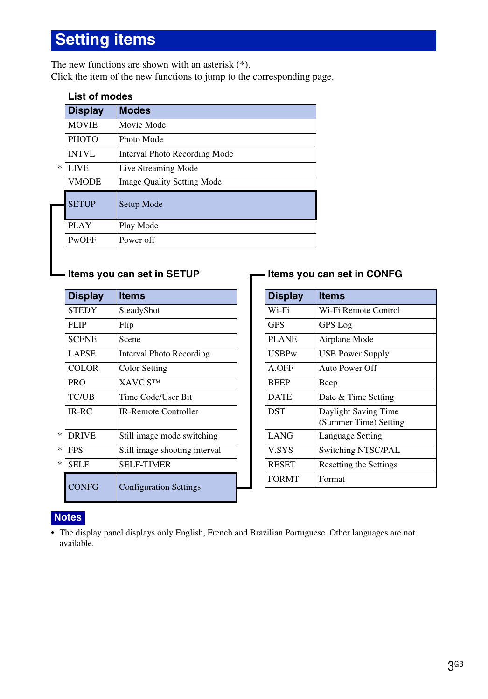## <span id="page-2-0"></span>**Setting items**

The new functions are shown with an asterisk (\*). Click the item of the new functions to jump to the corresponding page.

| List of modes |  |
|---------------|--|
|---------------|--|

|   | <b>Display</b> | <b>Modes</b>                      |
|---|----------------|-----------------------------------|
|   | <b>MOVIE</b>   | Movie Mode                        |
|   | <b>PHOTO</b>   | Photo Mode                        |
|   | <b>INTVL</b>   | Interval Photo Recording Mode     |
| * | <b>LIVE</b>    | Live Streaming Mode               |
|   | <b>VMODE</b>   | <b>Image Quality Setting Mode</b> |
|   | <b>SETUP</b>   | Setup Mode                        |
|   | PLAY           | Play Mode                         |
|   | PwOFF          | Power off                         |

| <b>Display</b>    | <b>Items</b>                  | <b>Display</b> | <b>Items</b>                                 |
|-------------------|-------------------------------|----------------|----------------------------------------------|
| <b>STEDY</b>      | SteadyShot                    | Wi-Fi          | Wi-Fi Remote Control                         |
| <b>FLIP</b>       | Flip                          | <b>GPS</b>     | <b>GPS</b> Log                               |
| <b>SCENE</b>      | Scene                         | <b>PLANE</b>   | Airplane Mode                                |
| <b>LAPSE</b>      | Interval Photo Recording      | <b>USBPw</b>   | <b>USB Power Supply</b>                      |
| <b>COLOR</b>      | Color Setting                 | A.OFF          | Auto Power Off                               |
| <b>PRO</b>        | <b>XAVC STM</b>               | <b>BEEP</b>    | Beep                                         |
| <b>TC/UB</b>      | Time Code/User Bit            | <b>DATE</b>    | Date & Time Setting                          |
| $IR-RC$           | <b>IR-Remote Controller</b>   | <b>DST</b>     | Daylight Saving Time<br>(Summer Time) Settin |
| *<br><b>DRIVE</b> | Still image mode switching    | <b>LANG</b>    | Language Setting                             |
| *<br><b>FPS</b>   | Still image shooting interval | V.SYS          | Switching NTSC/PAL                           |
| *<br><b>SELF</b>  | <b>SELF-TIMER</b>             | <b>RESET</b>   | Resetting the Settings                       |
| CONFG             | <b>Configuration Settings</b> | <b>FORMT</b>   | Format                                       |

### **Items you can set in SETUP Items you can set in CONFG**

| <b>Display</b> | ltems                                         |
|----------------|-----------------------------------------------|
| Wi-Fi          | Wi-Fi Remote Control                          |
| <b>GPS</b>     | <b>GPS</b> Log                                |
| <b>PLANE</b>   | Airplane Mode                                 |
| USBPw          | USB Power Supply                              |
| A.OFF          | Auto Power Off                                |
| <b>BEEP</b>    | Beep                                          |
| <b>DATE</b>    | Date & Time Setting                           |
| <b>DST</b>     | Daylight Saving Time<br>(Summer Time) Setting |
| LANG           | Language Setting                              |
| <b>V.SYS</b>   | Switching NTSC/PAL                            |
| <b>RESET</b>   | Resetting the Settings                        |
| <b>FORMT</b>   | Format                                        |

### **Notes**

• The display panel displays only English, French and Brazilian Portuguese. Other languages are not available.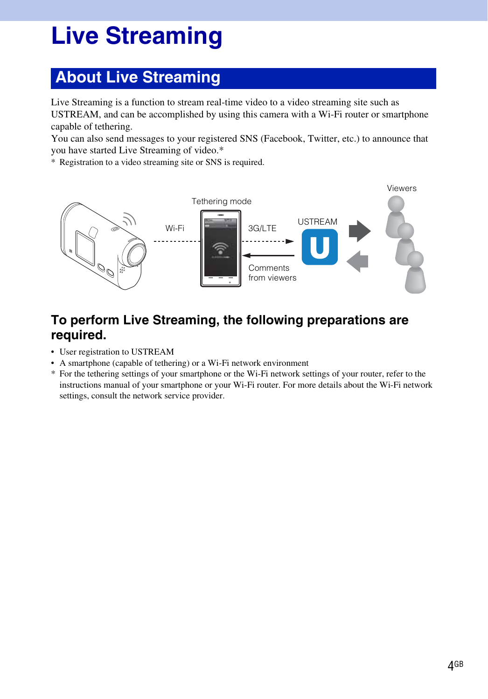# <span id="page-3-0"></span>**Live Streaming**

## <span id="page-3-1"></span>**About Live Streaming**

Live Streaming is a function to stream real-time video to a video streaming site such as USTREAM, and can be accomplished by using this camera with a Wi-Fi router or smartphone capable of tethering.

You can also send messages to your registered SNS (Facebook, Twitter, etc.) to announce that you have started Live Streaming of video.\*

\* Registration to a video streaming site or SNS is required.



### **To perform Live Streaming, the following preparations are required.**

- User registration to USTREAM
- A smartphone (capable of tethering) or a Wi-Fi network environment
- \* For the tethering settings of your smartphone or the Wi-Fi network settings of your router, refer to the instructions manual of your smartphone or your Wi-Fi router. For more details about the Wi-Fi network settings, consult the network service provider.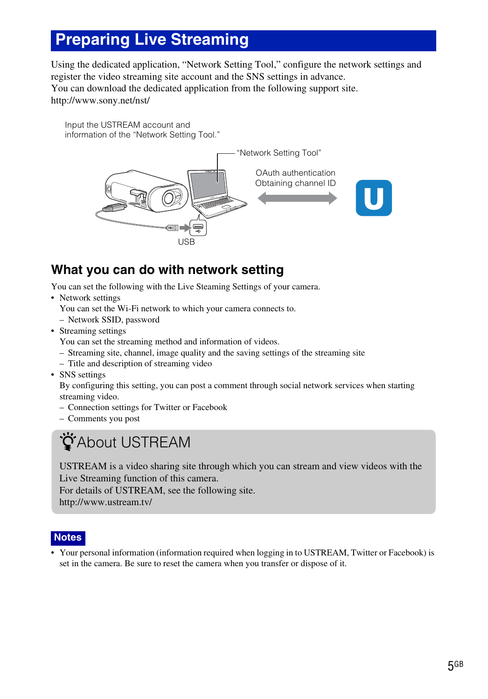## <span id="page-4-0"></span>**Preparing Live Streaming**

Using the dedicated application, "Network Setting Tool," configure the network settings and register the video streaming site account and the SNS settings in advance. You can download the dedicated application from the following support site. http://www.sony.net/nst/

Input the USTREAM account and information of the "Network Setting Tool."



## **What you can do with network setting**

You can set the following with the Live Steaming Settings of your camera.

• Network settings

You can set the Wi-Fi network to which your camera connects to.

- Network SSID, password
- Streaming settings

You can set the streaming method and information of videos.

- Streaming site, channel, image quality and the saving settings of the streaming site
- Title and description of streaming video
- SNS settings

By configuring this setting, you can post a comment through social network services when starting streaming video.

- Connection settings for Twitter or Facebook
- Comments you post

## *ÿ*About USTREAM

USTREAM is a video sharing site through which you can stream and view videos with the Live Streaming function of this camera.

For details of USTREAM, see the following site. http://www.ustream.tv/

## **Notes**

• Your personal information (information required when logging in to USTREAM, Twitter or Facebook) is set in the camera. Be sure to reset the camera when you transfer or dispose of it.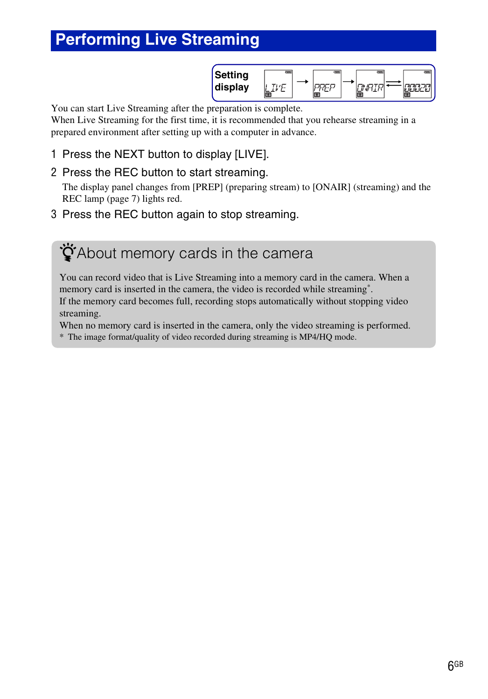## <span id="page-5-0"></span>**Performing Live Streaming**

| tting<br>-         | 17888 | 17888 | 1733 | 01884 |
|--------------------|-------|-------|------|-------|
| Nie<br>plav<br>uis |       |       |      |       |

You can start Live Streaming after the preparation is complete.

When Live Streaming for the first time, it is recommended that you rehearse streaming in a prepared environment after setting up with a computer in advance.

- 1 Press the NEXT button to display [LIVE].
- 2 Press the REC button to start streaming.

The display panel changes from [PREP] (preparing stream) to [ONAIR] (streaming) and the REC lamp [\(page 7\)](#page-6-0) lights red.

3 Press the REC button again to stop streaming.

ີ່∯`About memory cards in the camera

You can record video that is Live Streaming into a memory card in the camera. When a memory card is inserted in the camera, the video is recorded while streaming\*. If the memory card becomes full, recording stops automatically without stopping video streaming.

When no memory card is inserted in the camera, only the video streaming is performed.

\* The image format/quality of video recorded during streaming is MP4/HQ mode.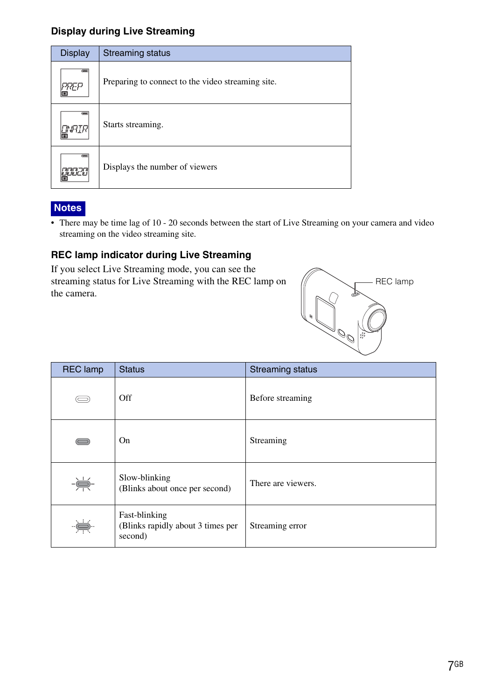### **Display during Live Streaming**

| <b>Display</b>                       | Streaming status                                  |
|--------------------------------------|---------------------------------------------------|
| $rac{1}{2}$                          | Preparing to connect to the video streaming site. |
| $\overline{m}$<br>$\mathbb{G}^{mIR}$ | Starts streaming.                                 |
| $rac{1}{2}$<br><b>ENTRE ET</b><br>門  | Displays the number of viewers                    |

### **Notes**

• There may be time lag of 10 - 20 seconds between the start of Live Streaming on your camera and video streaming on the video streaming site.

### <span id="page-6-0"></span>**REC lamp indicator during Live Streaming**

If you select Live Streaming mode, you can see the streaming status for Live Streaming with the REC lamp on the camera.



| <b>REC</b> lamp | <b>Status</b>                                                 | <b>Streaming status</b> |
|-----------------|---------------------------------------------------------------|-------------------------|
|                 | Off                                                           | Before streaming        |
|                 | On                                                            | Streaming               |
| -崇-             | Slow-blinking<br>(Blinks about once per second)               | There are viewers.      |
| ÷Š              | Fast-blinking<br>(Blinks rapidly about 3 times per<br>second) | Streaming error         |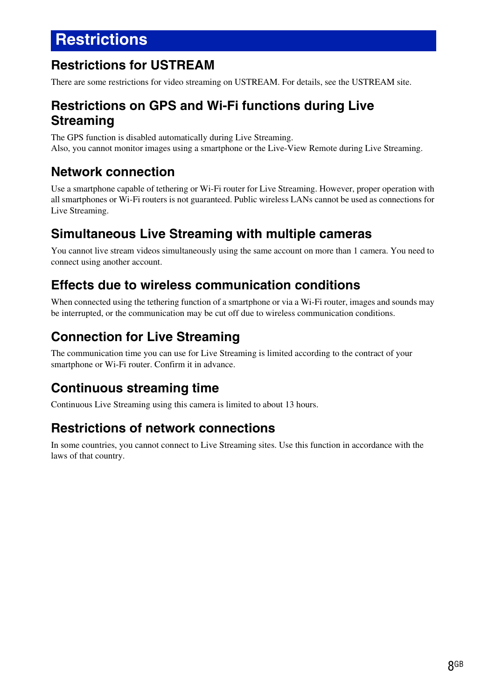## <span id="page-7-0"></span>**Restrictions**

## **Restrictions for USTREAM**

There are some restrictions for video streaming on USTREAM. For details, see the USTREAM site.

### **Restrictions on GPS and Wi-Fi functions during Live Streaming**

The GPS function is disabled automatically during Live Streaming. Also, you cannot monitor images using a smartphone or the Live-View Remote during Live Streaming.

## **Network connection**

Use a smartphone capable of tethering or Wi-Fi router for Live Streaming. However, proper operation with all smartphones or Wi-Fi routers is not guaranteed. Public wireless LANs cannot be used as connections for Live Streaming.

## **Simultaneous Live Streaming with multiple cameras**

You cannot live stream videos simultaneously using the same account on more than 1 camera. You need to connect using another account.

## **Effects due to wireless communication conditions**

When connected using the tethering function of a smartphone or via a Wi-Fi router, images and sounds may be interrupted, or the communication may be cut off due to wireless communication conditions.

## **Connection for Live Streaming**

The communication time you can use for Live Streaming is limited according to the contract of your smartphone or Wi-Fi router. Confirm it in advance.

## **Continuous streaming time**

Continuous Live Streaming using this camera is limited to about 13 hours.

## **Restrictions of network connections**

In some countries, you cannot connect to Live Streaming sites. Use this function in accordance with the laws of that country.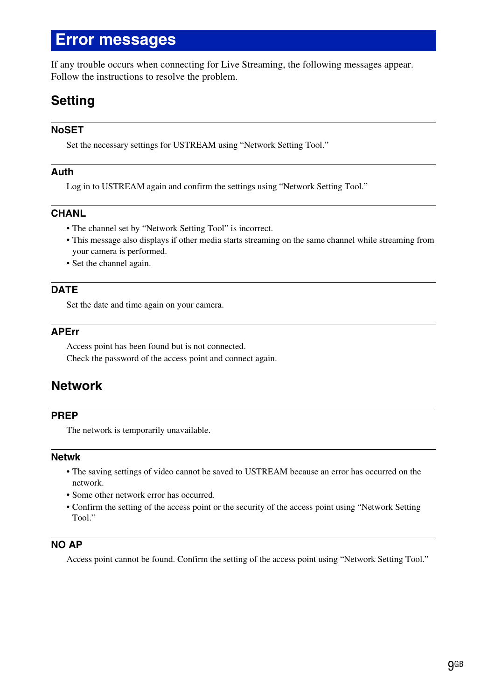## <span id="page-8-0"></span>**Error messages**

If any trouble occurs when connecting for Live Streaming, the following messages appear. Follow the instructions to resolve the problem.

## **Setting**

#### **NoSET**

Set the necessary settings for USTREAM using "Network Setting Tool."

#### **Auth**

Log in to USTREAM again and confirm the settings using "Network Setting Tool."

#### **CHANL**

- The channel set by "Network Setting Tool" is incorrect.
- This message also displays if other media starts streaming on the same channel while streaming from your camera is performed.
- Set the channel again.

#### **DATE**

Set the date and time again on your camera.

#### **APErr**

Access point has been found but is not connected. Check the password of the access point and connect again.

### **Network**

#### **PREP**

The network is temporarily unavailable.

#### **Netwk**

- The saving settings of video cannot be saved to USTREAM because an error has occurred on the network.
- Some other network error has occurred.
- Confirm the setting of the access point or the security of the access point using "Network Setting Tool."

#### **NO AP**

Access point cannot be found. Confirm the setting of the access point using "Network Setting Tool."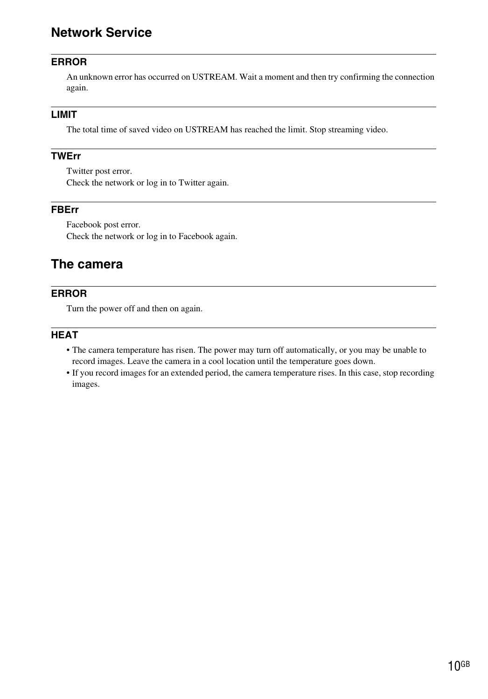### **Network Service**

#### **ERROR**

An unknown error has occurred on USTREAM. Wait a moment and then try confirming the connection again.

#### **LIMIT**

The total time of saved video on USTREAM has reached the limit. Stop streaming video.

#### **TWErr**

Twitter post error. Check the network or log in to Twitter again.

#### **FBErr**

Facebook post error. Check the network or log in to Facebook again.

### **The camera**

#### **ERROR**

Turn the power off and then on again.

#### **HEAT**

- The camera temperature has risen. The power may turn off automatically, or you may be unable to record images. Leave the camera in a cool location until the temperature goes down.
- If you record images for an extended period, the camera temperature rises. In this case, stop recording images.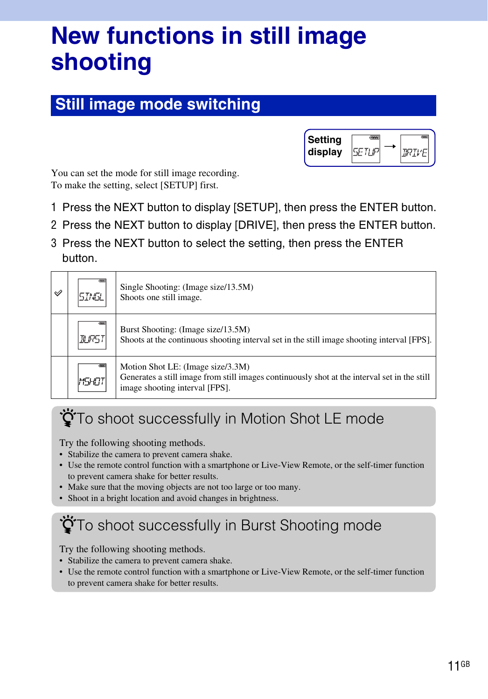# <span id="page-10-0"></span>**New functions in still image shooting**

## <span id="page-10-1"></span>**Still image mode switching**



You can set the mode for still image recording. To make the setting, select [SETUP] first.

- 1 Press the NEXT button to display [SETUP], then press the ENTER button.
- 2 Press the NEXT button to display [DRIVE], then press the ENTER button.
- 3 Press the NEXT button to select the setting, then press the ENTER button.

| $\mathscr V$ | 51N5L | Single Shooting: (Image size/13.5M)<br>Shoots one still image.                                                                                                      |
|--------------|-------|---------------------------------------------------------------------------------------------------------------------------------------------------------------------|
|              | RURS) | Burst Shooting: (Image size/13.5M)<br>Shoots at the continuous shooting interval set in the still image shooting interval [FPS].                                    |
|              | MSHO) | Motion Shot LE: (Image size/3.3M)<br>Generates a still image from still images continuously shot at the interval set in the still<br>image shooting interval [FPS]. |

## **ÖTo shoot successfully in Motion Shot LE mode**

Try the following shooting methods.

- Stabilize the camera to prevent camera shake.
- Use the remote control function with a smartphone or Live-View Remote, or the self-timer function to prevent camera shake for better results.
- Make sure that the moving objects are not too large or too many.
- Shoot in a bright location and avoid changes in brightness.

## $\ddot{Q}$ To shoot successfully in Burst Shooting mode

Try the following shooting methods.

- Stabilize the camera to prevent camera shake.
- Use the remote control function with a smartphone or Live-View Remote, or the self-timer function to prevent camera shake for better results.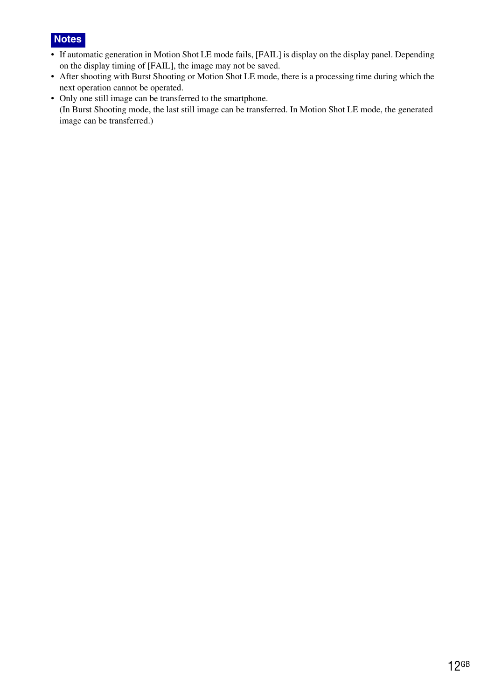

- If automatic generation in Motion Shot LE mode fails, [FAIL] is display on the display panel. Depending on the display timing of [FAIL], the image may not be saved.
- After shooting with Burst Shooting or Motion Shot LE mode, there is a processing time during which the next operation cannot be operated.
- Only one still image can be transferred to the smartphone. (In Burst Shooting mode, the last still image can be transferred. In Motion Shot LE mode, the generated image can be transferred.)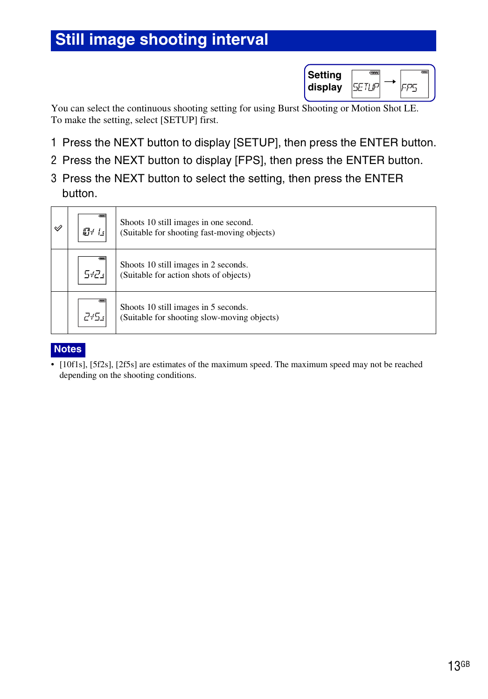## <span id="page-12-0"></span>**Still image shooting interval**

| Setting |        |
|---------|--------|
| display | ∿a⊱- . |

You can select the continuous shooting setting for using Burst Shooting or Motion Shot LE. To make the setting, select [SETUP] first.

- 1 Press the NEXT button to display [SETUP], then press the ENTER button.
- 2 Press the NEXT button to display [FPS], then press the ENTER button.
- 3 Press the NEXT button to select the setting, then press the ENTER button.

| $\mathscr Q$ | $\sqrt{2}$<br>101 Is | Shoots 10 still images in one second.<br>(Suitable for shooting fast-moving objects) |  |
|--------------|----------------------|--------------------------------------------------------------------------------------|--|
|              | 0.000<br>$5tZ_4$     | Shoots 10 still images in 2 seconds.<br>(Suitable for action shots of objects)       |  |
|              | 0.884<br>245.        | Shoots 10 still images in 5 seconds.<br>(Suitable for shooting slow-moving objects)  |  |

### **Notes**

• [10f1s], [5f2s], [2f5s] are estimates of the maximum speed. The maximum speed may not be reached depending on the shooting conditions.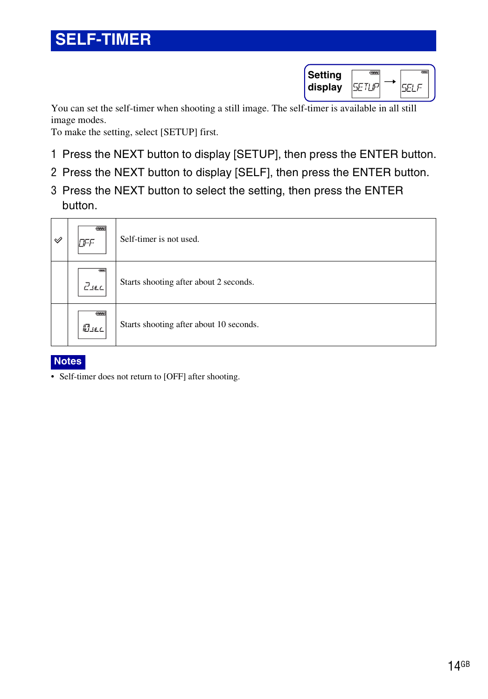| Setting |  |
|---------|--|
| display |  |

<span id="page-13-0"></span>You can set the self-timer when shooting a still image. The self-timer is available in all still image modes.

To make the setting, select [SETUP] first.

- 1 Press the NEXT button to display [SETUP], then press the ENTER button.
- 2 Press the NEXT button to display [SELF], then press the ENTER button.
- 3 Press the NEXT button to select the setting, then press the ENTER button.

| $\mathscr Q$ | $\sqrt{100}$<br>nee | Self-timer is not used.                 |
|--------------|---------------------|-----------------------------------------|
|              | 0.884<br>$Z_{SLL}$  | Starts shooting after about 2 seconds.  |
|              | 07774<br>MISEL      | Starts shooting after about 10 seconds. |

### **Notes**

• Self-timer does not return to [OFF] after shooting.